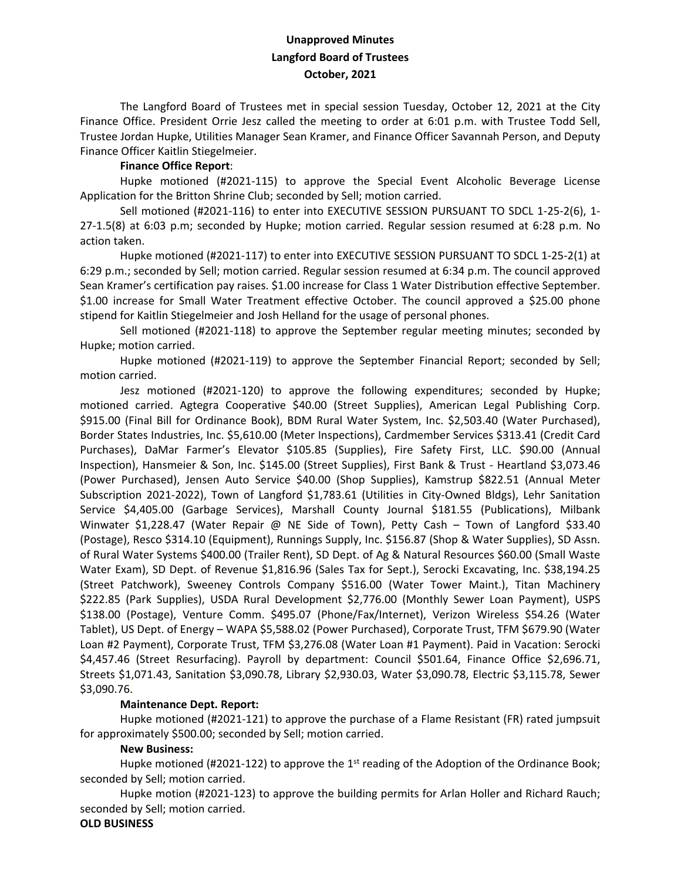# **Unapproved Minutes Langford Board of Trustees October, 2021**

The Langford Board of Trustees met in special session Tuesday, October 12, 2021 at the City Finance Office. President Orrie Jesz called the meeting to order at 6:01 p.m. with Trustee Todd Sell, Trustee Jordan Hupke, Utilities Manager Sean Kramer, and Finance Officer Savannah Person, and Deputy Finance Officer Kaitlin Stiegelmeier.

#### **Finance Office Report**:

Hupke motioned (#2021-115) to approve the Special Event Alcoholic Beverage License Application for the Britton Shrine Club; seconded by Sell; motion carried.

Sell motioned (#2021-116) to enter into EXECUTIVE SESSION PURSUANT TO SDCL 1-25-2(6), 1-27-1.5(8) at 6:03 p.m; seconded by Hupke; motion carried. Regular session resumed at 6:28 p.m. No action taken.

Hupke motioned (#2021-117) to enter into EXECUTIVE SESSION PURSUANT TO SDCL 1-25-2(1) at 6:29 p.m.; seconded by Sell; motion carried. Regular session resumed at 6:34 p.m. The council approved Sean Kramer's certification pay raises. \$1.00 increase for Class 1 Water Distribution effective September. \$1.00 increase for Small Water Treatment effective October. The council approved a \$25.00 phone stipend for Kaitlin Stiegelmeier and Josh Helland for the usage of personal phones.

Sell motioned (#2021-118) to approve the September regular meeting minutes; seconded by Hupke; motion carried.

Hupke motioned (#2021-119) to approve the September Financial Report; seconded by Sell; motion carried.

Jesz motioned (#2021-120) to approve the following expenditures; seconded by Hupke; motioned carried. Agtegra Cooperative \$40.00 (Street Supplies), American Legal Publishing Corp. \$915.00 (Final Bill for Ordinance Book), BDM Rural Water System, Inc. \$2,503.40 (Water Purchased), Border States Industries, Inc. \$5,610.00 (Meter Inspections), Cardmember Services \$313.41 (Credit Card Purchases), DaMar Farmer's Elevator \$105.85 (Supplies), Fire Safety First, LLC. \$90.00 (Annual Inspection), Hansmeier & Son, Inc. \$145.00 (Street Supplies), First Bank & Trust - Heartland \$3,073.46 (Power Purchased), Jensen Auto Service \$40.00 (Shop Supplies), Kamstrup \$822.51 (Annual Meter Subscription 2021-2022), Town of Langford \$1,783.61 (Utilities in City-Owned Bldgs), Lehr Sanitation Service \$4,405.00 (Garbage Services), Marshall County Journal \$181.55 (Publications), Milbank Winwater \$1,228.47 (Water Repair @ NE Side of Town), Petty Cash - Town of Langford \$33.40 (Postage), Resco \$314.10 (Equipment), Runnings Supply, Inc. \$156.87 (Shop & Water Supplies), SD Assn. of Rural Water Systems \$400.00 (Trailer Rent), SD Dept. of Ag & Natural Resources \$60.00 (Small Waste Water Exam), SD Dept. of Revenue \$1,816.96 (Sales Tax for Sept.), Serocki Excavating, Inc. \$38,194.25 (Street Patchwork), Sweeney Controls Company \$516.00 (Water Tower Maint.), Titan Machinery \$222.85 (Park Supplies), USDA Rural Development \$2,776.00 (Monthly Sewer Loan Payment), USPS \$138.00 (Postage), Venture Comm. \$495.07 (Phone/Fax/Internet), Verizon Wireless \$54.26 (Water Tablet), US Dept. of Energy – WAPA \$5,588.02 (Power Purchased), Corporate Trust, TFM \$679.90 (Water Loan #2 Payment), Corporate Trust, TFM \$3,276.08 (Water Loan #1 Payment). Paid in Vacation: Serocki \$4,457.46 (Street Resurfacing). Payroll by department: Council \$501.64, Finance Office \$2,696.71, Streets \$1,071.43, Sanitation \$3,090.78, Library \$2,930.03, Water \$3,090.78, Electric \$3,115.78, Sewer \$3,090.76.

## **Maintenance Dept. Report:**

Hupke motioned (#2021-121) to approve the purchase of a Flame Resistant (FR) rated jumpsuit for approximately \$500.00; seconded by Sell; motion carried.

#### **New Business:**

Hupke motioned (#2021-122) to approve the  $1<sup>st</sup>$  reading of the Adoption of the Ordinance Book; seconded by Sell; motion carried.

Hupke motion (#2021-123) to approve the building permits for Arlan Holler and Richard Rauch; seconded by Sell; motion carried.

## **OLD BUSINESS**